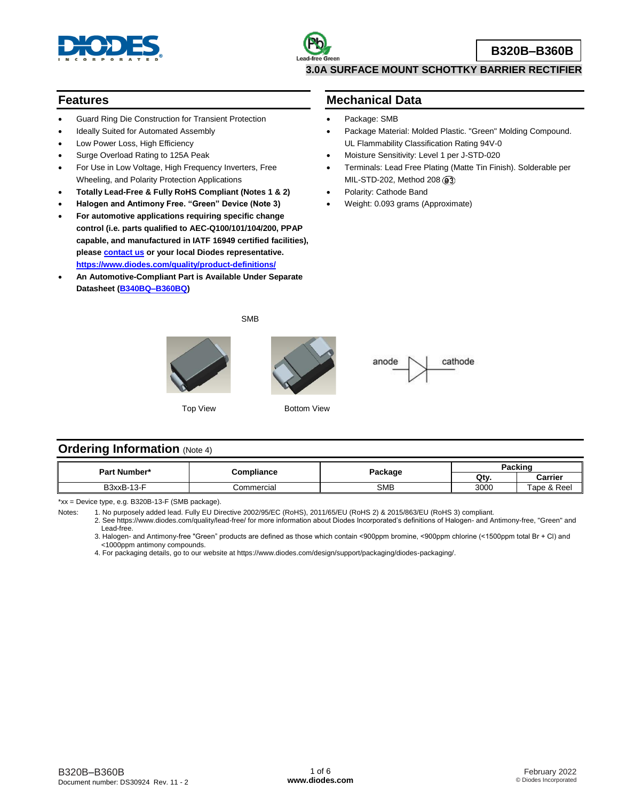

#### **Features**

- Guard Ring Die Construction for Transient Protection
- Ideally Suited for Automated Assembly
- Low Power Loss, High Efficiency
- Surge Overload Rating to 125A Peak
- For Use in Low Voltage, High Frequency Inverters, Free Wheeling, and Polarity Protection Applications
- **Totally Lead-Free & Fully RoHS Compliant (Notes 1 & 2)**
- **Halogen and Antimony Free. "Green" Device (Note 3)**
- **For automotive applications requiring specific change control (i.e. parts qualified to AEC-Q100/101/104/200, PPAP capable, and manufactured in IATF 16949 certified facilities), pleas[e contact us](https://www.diodes.com/about/contact-us/) or your local Diodes representative. <https://www.diodes.com/quality/product-definitions/>**
- **An Automotive-Compliant Part is Available Under Separate Datasheet [\(B340BQ–B360BQ\)](https://www.diodes.com/assets/Datasheets/B340BQ-B360BQ.pdf)**

#### **Mechanical Data**

- Package: SMB
- Package Material: Molded Plastic. "Green" Molding Compound. UL Flammability Classification Rating 94V-0
- Moisture Sensitivity: Level 1 per J-STD-020
- Terminals: Lead Free Plating (Matte Tin Finish). Solderable per MIL-STD-202, Method 208 ( $\circled{3}$ )
- Polarity: Cathode Band
- Weight: 0.093 grams (Approximate)



#### **Ordering Information** (Note 4)

| Part Number* | Compliance |            | . .<br>Packing |                  |  |
|--------------|------------|------------|----------------|------------------|--|
|              |            | Package    | Qtv.           | Carrier          |  |
| B3xxB-13-F   | Commercial | <b>SMB</b> | 3000           | & Reel<br>⊺ape & |  |

\*xx = Device type, e.g. B320B-13-F (SMB package).

Notes: 1. No purposely added lead. Fully EU Directive 2002/95/EC (RoHS), 2011/65/EU (RoHS 2) & 2015/863/EU (RoHS 3) compliant.

2. See https://www.diodes.com/quality/lead-free/ for more information about Diodes Incorporated's definitions of Halogen- and Antimony-free, "Green" and Lead-free.

3. Halogen- and Antimony-free "Green" products are defined as those which contain <900ppm bromine, <900ppm chlorine (<1500ppm total Br + Cl) and <1000ppm antimony compounds.

4. For packaging details, go to our website at https://www.diodes.com/design/support/packaging/diodes-packaging/.

SMB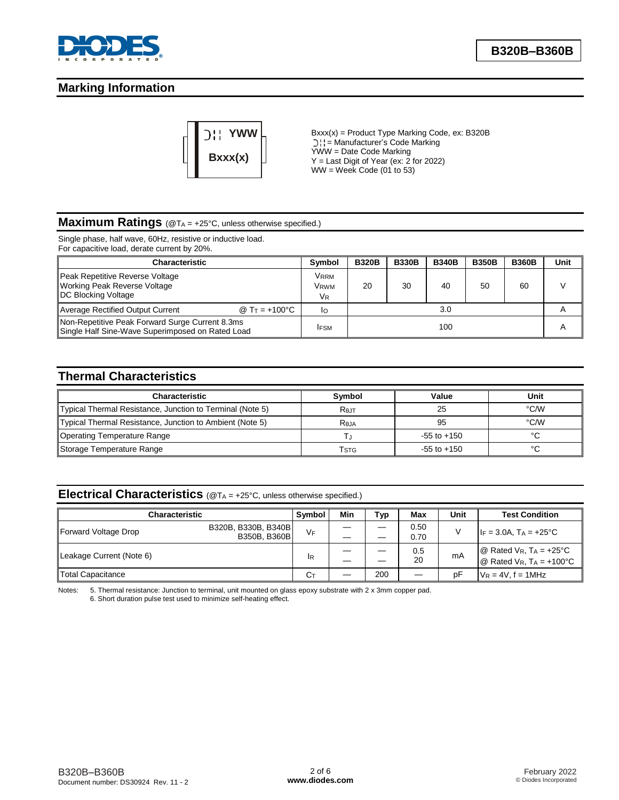

# **Marking Information**



Bxxx(x) = Product Type Marking Code, ex: B320B = Manufacturer's Code Marking YWW = Date Code Marking  $Y =$  Last Digit of Year (ex: 2 for 2022)  $WW =$  Week Code (01 to 53)

#### **Maximum Ratings** (@T<sup>A</sup> = +25°C, unless otherwise specified.)

Single phase, half wave, 60Hz, resistive or inductive load. For capacitive load, derate current by 20%.

| <b>Characteristic</b>                                                                               |                        | Symbol                               | <b>B320B</b> | <b>B330B</b> | <b>B340B</b> | <b>B350B</b> | <b>B360B</b> | Unit |
|-----------------------------------------------------------------------------------------------------|------------------------|--------------------------------------|--------------|--------------|--------------|--------------|--------------|------|
| Peak Repetitive Reverse Voltage<br>Working Peak Reverse Voltage<br>DC Blocking Voltage              |                        | Vrrm<br>Vrwm<br><b>V<sub>R</sub></b> | 20           | 30           | 40           | 50           | 60           |      |
| <b>Average Rectified Output Current</b>                                                             | @ $Tr = +100^{\circ}C$ | Ιo                                   |              |              | 3.0          |              |              | A    |
| Non-Repetitive Peak Forward Surge Current 8.3ms<br>Single Half Sine-Wave Superimposed on Rated Load |                        | <b>IFSM</b>                          | 100          |              |              |              | A            |      |

# **Thermal Characteristics**

| <b>Characteristic</b>                                     | Symbol           | Value           | Unit |
|-----------------------------------------------------------|------------------|-----------------|------|
| Typical Thermal Resistance, Junction to Terminal (Note 5) | $R_{0JT}$        | 25              | °C/W |
| Typical Thermal Resistance, Junction to Ambient (Note 5)  | R <sub>eja</sub> | 95              | °C/W |
| <b>Operating Temperature Range</b>                        |                  | $-55$ to $+150$ |      |
| Storage Temperature Range                                 | Estg             | $-55$ to $+150$ |      |

# **Electrical Characteristics** (@T<sup>A</sup> = +25°C, unless otherwise specified.)

| <b>Characteristic</b>    |                                     | Symbol | Min | Тур | Max          | Unit | <b>Test Condition</b>                                                                              |
|--------------------------|-------------------------------------|--------|-----|-----|--------------|------|----------------------------------------------------------------------------------------------------|
| Forward Voltage Drop     | B320B, B330B, B340B<br>B350B, B360B | VF     |     |     | 0.50<br>0.70 |      | $I_F = 3.0A$ , $T_A = +25^{\circ}C$                                                                |
| Leakage Current (Note 6) |                                     | IR     |     |     | 0.5<br>20    | mA   | $\omega$ Rated V <sub>R</sub> , T <sub>A</sub> = +25°C<br>$@$ Rated V <sub>R</sub> , $TA = +100°C$ |
| Total Capacitance        |                                     | Cт     |     | 200 |              | рF   | $V_R = 4V$ , $f = 1MHz$                                                                            |

Notes: 5. Thermal resistance: Junction to terminal, unit mounted on glass epoxy substrate with 2 x 3mm copper pad. 6. Short duration pulse test used to minimize self-heating effect.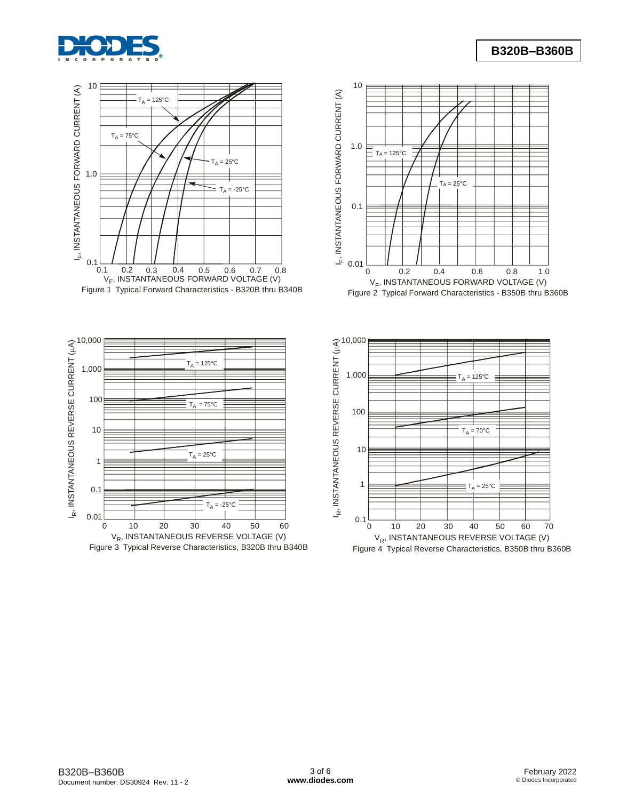









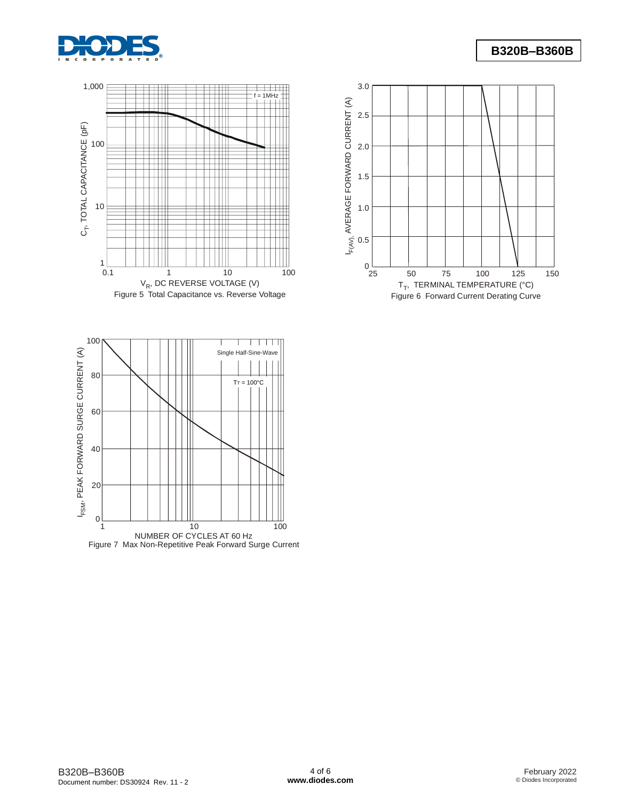





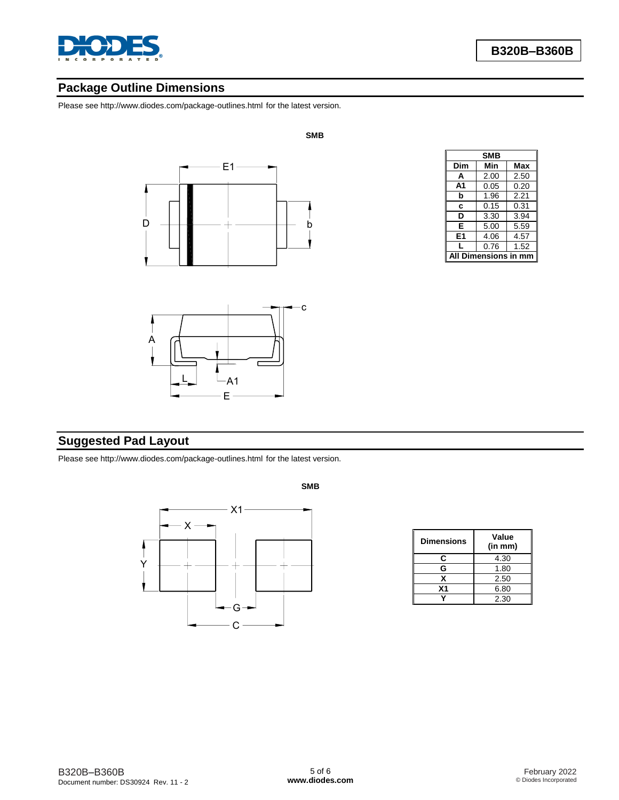

# **Package Outline Dimensions**

Please se[e http://www.diodes.com/package-outlines.html](http://www.diodes.com/package-outlines.html) for the latest version.



**SMB**



| <b>SMB</b> |                  |            |  |  |  |
|------------|------------------|------------|--|--|--|
| Dim        | Min              | <b>Max</b> |  |  |  |
| А          | 2.00             | 2.50       |  |  |  |
| A1         | 0.05             | 0.20       |  |  |  |
| b          | 1.96             | 2.21       |  |  |  |
| C          | 0.15             | 0.31       |  |  |  |
| D          | 3.30             | 3.94       |  |  |  |
| E          | 5.00             | 5.59       |  |  |  |
| E1         | 4.06             | 4.57       |  |  |  |
|            | 0.76             | 1.52       |  |  |  |
|            | Dimensions in mm |            |  |  |  |

# **Suggested Pad Layout**

Please se[e http://www.diodes.com/package-outlines.html](http://www.diodes.com/package-outlines.html) for the latest version.



| <b>Dimensions</b> | Value<br>(in mm) |
|-------------------|------------------|
| C                 | 4.30             |
| G                 | 1.80             |
| x                 | 2.50             |
| X <sub>1</sub>    | 6.80             |
|                   | 2.30             |

**SMB**